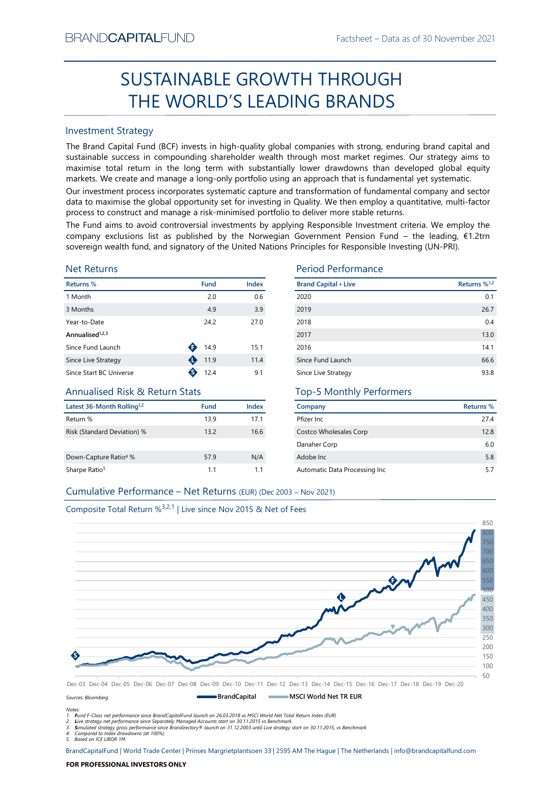# Factsheet – Data as of 30 November 2021<br> **HROUGH** SUSTAINABLE GROWTH THROUGH THE WORLD'S LEADING BRANDS

# Investment Strategy

From NDCAPTIALIFUND<br>
Fractisheet – Data as of 30 November 2021<br>
SUSTAINABLE GROWTH THROUGH<br>
THE WORLD'S LEADING BRANDS<br>
Investment Strategy<br>
The Brand Captib Fund Index (65) invests in high-quality global companies with s **SUSTAINABLE GROWTH THROUGH**<br> **THE WORLD'S LEADING BRANDS**<br>
Investment Strategy<br>
IThe Brand Gapital Fund (8CF) invests in high-quality global comparies with strong, enduring brand capital and<br>
sustinahle success in compon BRAND**CAPITAL**FUND<br>
SUSTAINABLE GROWTH THROUGH<br>
THE WORLD'S LEADING BRANDS<br>
Investment Strategy<br>
The Brand Capital Fund (BCF) invests in high-quality global companies with strong, enduring brand capital and<br>
sustainable su BRAND**CAPITAL**FUND<br>
Factsheet – Data as of 30 November 2021<br> **SUSTAINABLE GROWTH THROUGH**<br> **THE WORLD'S LEADING BRANDS**<br>
Investment Strategy<br>
The Brand Capital Fund (BCF) invests in high-quality global companies with stron BRAND**CAPITAL**FUND<br>
SUSTAINABLE GROWTH THROUGH<br>
THE WORLD'S LEADING BRANDS<br>
Investment Strategy<br>
Inte Brand Capital Fund (BCF) invests in high-quality global companies with strong, enduring brand capital and<br>
sustainable s BRAND**CAPITAL**FUND<br>
SUSTAINABLE GROWTH THROUGH<br>
THE WORLD'S LEADING BRANDS<br>
Investment Strategy<br>
Investment Strategy<br>
Investment Strategy<br>
Investment Strategy<br>
Investment Strategy<br>
The Brand Capital Fund (BCF) invests in h BRAND**CAPITAL**FUND<br>
SUSTAINABLE GROWTH THROUGH<br>
THE WORLD'S LEADING BRANDS<br>
Investment Strategy<br>
Investment Strategy<br>
Investment Strategy<br>
Investment Strategy<br>
Investment Strategy<br>
Investment Strategy<br>
and Captal and (BCF) BRAND**CAPITAL**FUND<br>
SUSTAINABLE GROWTH THROUGH<br>
THE WORLD'S LEADING BRANDS<br>
Investment Strategy<br>
The Brand Capital Fund (BCF) invests in high-quality global companies with strong, enduring brand capital and<br>
Justainable su BRANDCAPITALFUND<br>
SUSTAINABLE GROWTH THROUGH<br>
THE WORLD'S LEADING BRANDS<br>
Investment Strategy<br>
The Brand Capital Fund (BCF) invests in high-quality global companies with strong, enduring brand capital and<br>
sustainable succ BRANDCAPITALFUND<br>
SUSTAINABLE GROWTH THROUGH<br>
THE WORLD'S LEADING BRANDS<br>
Investment Strategy<br>
Investment Strategy<br>
Investment Strategy<br>
Investment Strategy<br>
Sustainable success in compounding shareholder wealth through mo EXANDCAPITALFUND<br>
SUSTAINABLE GROWTH THROUGH<br>
THE WORLD'S LEADING BRANDS<br>
Investment Strategy<br>
The Brand Capital Fund (BCF) invests in high-quality global companies with strong, enduring brand capital and<br>
sustsissible su BRANDCAPITALFUND<br>
SUSTAINABLE GROWTH THROUGH<br>
THE WORLD'S LEADING BRANDS<br>
Investment Strategy<br>
Investment Strategy<br>
Investment Strategy<br>
Investment Strategy<br>
Sustainable success in compounding shareholder wealth fundap mo

# Net Returns

| <b>Returns %</b>            | <b>Fund</b> | Index | <b>Brand Capital • Lives</b> |
|-----------------------------|-------------|-------|------------------------------|
| 1 Month                     | 2.0         | 0.6   | 2020                         |
| 3 Months                    | 4.9         | 3.9   | 2019                         |
| Year-to-Date                | 24.2        | 27.0  | 2018                         |
| Annualised <sup>1,2,3</sup> |             |       | 2017                         |
| Since Fund Launch           | 14.9        | 15.1  | 2016                         |
| Since Live Strategy         | 11.9        | 11.4  | Since Fund Launch            |
| Since Start BC Universe     | 12.4        | 9.1   | Since Live Strategy          |
|                             |             |       |                              |

# Annualised Risk & Return Stats

| Latest 36-Month Rolling <sup>1,2</sup> | Fund | Index |
|----------------------------------------|------|-------|
| Return %                               | 13.9 | 17.1  |
| Risk (Standard Deviation) %            | 13.2 | 16.6  |
| Down-Capture Ratio <sup>4</sup> %      | 57.9 | N/A   |
| Sharpe Ratio <sup>5</sup>              | 11   | 11    |

# Period Performance

| BRANU <b>UAPHAL</b> FUND                                                      |                |       |                                                                                                                                                                                                                                                                                                                                                                                                                                                 | Hactsheet – Data as of 30 November 2021 |
|-------------------------------------------------------------------------------|----------------|-------|-------------------------------------------------------------------------------------------------------------------------------------------------------------------------------------------------------------------------------------------------------------------------------------------------------------------------------------------------------------------------------------------------------------------------------------------------|-----------------------------------------|
|                                                                               |                |       | SUSTAINABLE GROWTH THROUGH                                                                                                                                                                                                                                                                                                                                                                                                                      |                                         |
|                                                                               |                |       | THE WORLD'S LEADING BRANDS                                                                                                                                                                                                                                                                                                                                                                                                                      |                                         |
| <b>Investment Strategy</b>                                                    |                |       |                                                                                                                                                                                                                                                                                                                                                                                                                                                 |                                         |
|                                                                               |                |       | The Brand Capital Fund (BCF) invests in high-quality global companies with strong, enduring brand capital and<br>sustainable success in compounding shareholder wealth through most market regimes. Our strategy aims to<br>maximise total return in the long term with substantially lower drawdowns than developed global equity<br>markets. We create and manage a long-only portfolio using an approach that is fundamental yet systematic. |                                         |
|                                                                               |                |       | Our investment process incorporates systematic capture and transformation of fundamental company and sector<br>data to maximise the global opportunity set for investing in Quality. We then employ a quantitative, multi-factor<br>process to construct and manage a risk-minimised portfolio to deliver more stable returns.                                                                                                                  |                                         |
|                                                                               |                |       | The Fund aims to avoid controversial investments by applying Responsible Investment criteria. We employ the<br>company exclusions list as published by the Norwegian Government Pension Fund – the leading, €1.2trn<br>sovereign wealth fund, and signatory of the United Nations Principles for Responsible Investing (UN-PRI).                                                                                                                |                                         |
| <b>Net Returns</b>                                                            |                |       | <b>Period Performance</b>                                                                                                                                                                                                                                                                                                                                                                                                                       |                                         |
| Returns %                                                                     | <b>Fund</b>    | Index | <b>Brand Capital • Live</b>                                                                                                                                                                                                                                                                                                                                                                                                                     | Returns % <sup>1,2</sup>                |
| 1 Month                                                                       | 2.0            | 0.6   | 2020                                                                                                                                                                                                                                                                                                                                                                                                                                            | 0.1                                     |
| 3 Months                                                                      | 4.9            | 3.9   | 2019                                                                                                                                                                                                                                                                                                                                                                                                                                            | 26.7                                    |
| Year-to-Date                                                                  | 24.2           | 27.0  | 2018                                                                                                                                                                                                                                                                                                                                                                                                                                            | 0.4                                     |
| Annualised <sup>1,2,3</sup>                                                   |                |       | 2017                                                                                                                                                                                                                                                                                                                                                                                                                                            | 13.0                                    |
| Since Fund Launch                                                             | 4.9            | 15.1  | 2016                                                                                                                                                                                                                                                                                                                                                                                                                                            | 14.1                                    |
| Since Live Strategy                                                           | 11.9           | 11.4  | Since Fund Launch                                                                                                                                                                                                                                                                                                                                                                                                                               | 66.6                                    |
| Since Start BC Universe                                                       | $\bullet$ 12.4 | 9.1   | Since Live Strategy                                                                                                                                                                                                                                                                                                                                                                                                                             | 93.8                                    |
| <b>Annualised Risk &amp; Return Stats</b>                                     |                |       | <b>Top-5 Monthly Performers</b>                                                                                                                                                                                                                                                                                                                                                                                                                 |                                         |
| Latest 36-Month Rolling <sup>1,2</sup>                                        | Fund           | Index | Company                                                                                                                                                                                                                                                                                                                                                                                                                                         | <b>Returns %</b>                        |
| Return %                                                                      | 13.9           | 17.1  | Pfizer Inc                                                                                                                                                                                                                                                                                                                                                                                                                                      | 27.4                                    |
| Risk (Standard Deviation) %                                                   | 13.2           | 16.6  | Costco Wholesales Corp                                                                                                                                                                                                                                                                                                                                                                                                                          | 12.8                                    |
|                                                                               |                |       | Danaher Corp                                                                                                                                                                                                                                                                                                                                                                                                                                    | 6.0                                     |
| Down-Capture Ratio <sup>4</sup> %                                             | 57.9           | N/A   | Adobe Inc                                                                                                                                                                                                                                                                                                                                                                                                                                       | $5.8\,$                                 |
| Sharpe Ratio <sup>5</sup>                                                     | 1.1            | 1.1   | Automatic Data Processing Inc                                                                                                                                                                                                                                                                                                                                                                                                                   | 5.7                                     |
| Cumulative Performance - Net Returns (EUR) (Dec 2003 - Nov 2021)              |                |       |                                                                                                                                                                                                                                                                                                                                                                                                                                                 |                                         |
|                                                                               |                |       |                                                                                                                                                                                                                                                                                                                                                                                                                                                 |                                         |
| Composite Total Return % <sup>3,2,1</sup>   Live since Nov 2015 & Net of Fees |                |       |                                                                                                                                                                                                                                                                                                                                                                                                                                                 |                                         |
|                                                                               |                |       |                                                                                                                                                                                                                                                                                                                                                                                                                                                 | 850                                     |
|                                                                               |                |       |                                                                                                                                                                                                                                                                                                                                                                                                                                                 |                                         |

# Top-5 Monthly Performers

| Company                       | Returns % |
|-------------------------------|-----------|
| Pfizer Inc.                   | 274       |
| Costco Wholesales Corp        | 12.8      |
| Danaher Corp                  | 6.0       |
| Adobe Inc.                    | 5.8       |
| Automatic Data Processing Inc | 5.7       |

# Composite Total Return %3,2,1 | Live since Nov 2015 & Net of Fees



Sources: Bloomberg

Notes:<br>1. Fund F-Class net performance since BrandCapitalFund launch on 26.03.2018 vs MSCI World Net Total Return Index (EUR)<br>2. Live strategy net performance since Separately Managed Accounts start on 30.11.2015 vs Benchm

5. Based on ICE LIBOR 1M